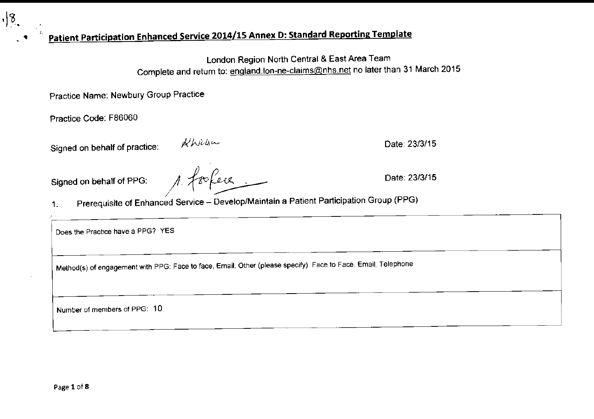•

 $\sqrt{8}$ 

'

 $^{\prime}$ 

Signed on behalf of practice:  $\frac{d}{d}$  billists of practice: Date: 23/3/15

Signed on behalf of PPG:  $\Lambda$   $\leftarrow$   $\leftarrow$   $\leftarrow$  Date: 23/3/15

## ., **Patient Participation Enhanced Service 2014/15 Annex D: Standard Reporting Template** •

London Region North Central & East Area Team Complete and return to: england.lon-ne-claims@nhs.net no later than 31 March 2015

Practice Name: Newbury Group Practice

Practice Code: F86060

1, Prerequisite of Enhanced Service- Develop/Maintain a Patient Participation Group (PPG)

**Does the Practice have a PPG? YES** 

**Method(s) of engagement with PPG: Face to face, Email, Other (please specify) Face to Face, Email, Telephone** 

**Number of members of PPG: 10**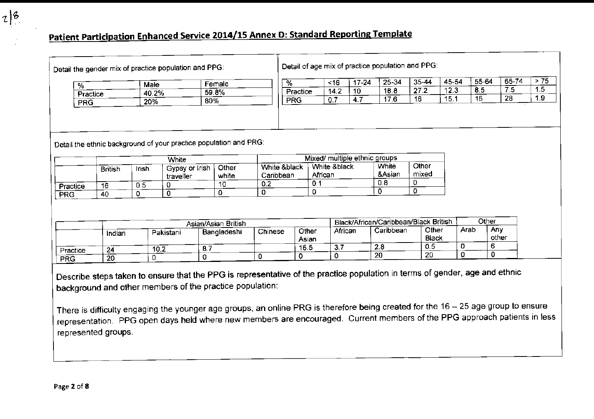Detail the gender mix of practice population and PPG: <br>  $\begin{array}{c} \end{array}$  Detail of age mix of practice population and PPG:

| %          | Male  | Female |  |
|------------|-------|--------|--|
| Practice   | 40.2% | 59.8%  |  |
| <b>PRG</b> | 20%   | 80%    |  |

|                 | Male  | Female | %           | <16          | $(-24)$ | 25-34       | 25.<br>∕⊿ـذ<br>ັ | 45-54    | 55-64 | $65 -$ | - -              |
|-----------------|-------|--------|-------------|--------------|---------|-------------|------------------|----------|-------|--------|------------------|
| 70.<br>Practice | 40.2% | 59.8%  | Practice    | $\mathbf{r}$ |         | 100<br>10.C | 67 O<br>. .      | .<br>. v | v.v   |        | $\cdots$         |
|                 | 20%   | 80%    | DD C<br>באג | . .          |         | . .         |                  | IJ.      | 16    | 28     | . . <del>.</del> |
| PRG             |       |        |             |              |         |             |                  |          |       |        |                  |

|          |                |              | White                       |                |                           | Mixed/ multiple ethnic groups |                 |                |
|----------|----------------|--------------|-----------------------------|----------------|---------------------------|-------------------------------|-----------------|----------------|
|          | <b>British</b> | <b>Irish</b> | Gypsy or Irish<br>traveller | Other<br>white | White &black<br>Caribbean | White & black<br>African      | White<br>&Asian | Other<br>mixed |
| Practice | 16             | 0.5          |                             | 10             | 0.2                       | 0.1                           | 0.8             |                |
| PRG      | 40             |              |                             |                |                           | 0                             | -0              |                |

|            | Asian/Asian British |           |             |         |                | Black/African/Caribbean/Black British | Other     |                       |      |              |
|------------|---------------------|-----------|-------------|---------|----------------|---------------------------------------|-----------|-----------------------|------|--------------|
|            | Indian              | Pakistani | Bangladeshi | Chinese | Other<br>Asian | African                               | Caribbean | Other<br><b>Black</b> | Arab | Any<br>other |
| Practice   | 24                  | 10.2      |             |         | 16.5           | O.                                    | 2.8       | 0.5                   |      |              |
| <b>PRG</b> | 20                  |           |             |         |                |                                       | 20        | 20                    |      |              |

Describe steps taken to ensure that the PPG is representative of the practice population in terms of gender, age and ethnic background and other members of the practice population:

There is difficulty engaging the younger age groups, an online PRG is therefore being created for the 16-25 age group to ensure representation. PPG open days held where new members are encouraged. Current members of the PPG approach patients in less represented groups.

 $|z|^2$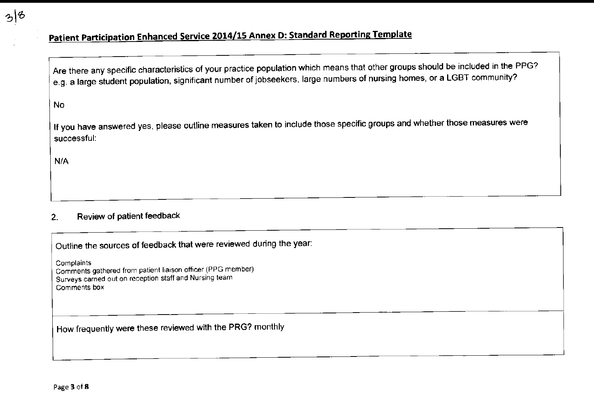Are there any specific characteristics of your practice population which means that other groups should be included in the PPG? e.g. a large student population, significant number of jobseekers, large numbers of nursing homes, or a LGBT community?

No

 $3|8$ 

If you have answered yes, please outline measures taken to include those specific groups and whether those measures were **successful:** 

N/A

#### 2. Review of patient feedback

Outline the sources of feedback that were reviewed during the year:

**Complaints Comments gathered from patient lia1son officer (PPG member) Surveys carried out on reception staff and Nursing team Comments box** 

## How frequently were these reviewed with the PRG? monthly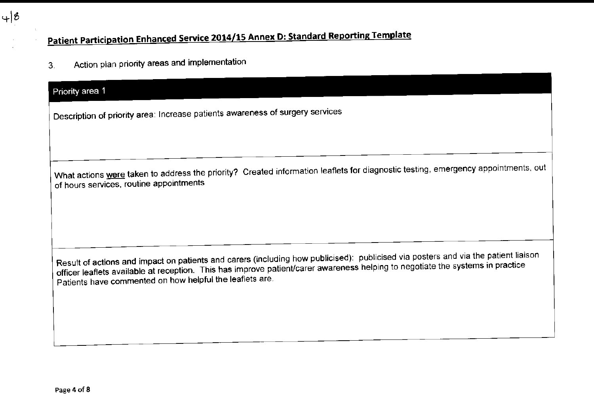3. Action plan priority areas and implementation

### Priority area 1

 $48$ 

**Description of priority area: Increase patients awareness of surgery services** 

What actions were taken to address the priority? Created information leaflets for diagnostic testing, emergency appointments, out **of hours services, routine appointments** 

Result of actions and impact on patients and carers (including how publicised): publicised via posters and via the patient liaison officer leaflets available at reception. This has improve patient/carer awareness helping to negotiate the systems in practice Patients have commented on how helpful the leaflets are.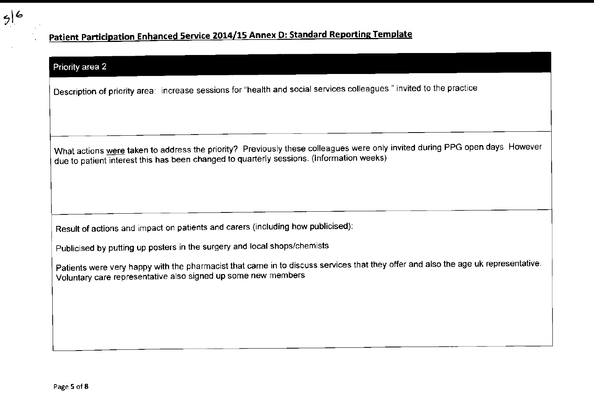

#### Priority area 2

**Description of priority area: increase sessions for "health and social services colleagues" invited to the practice** 

What actions were taken to address the priority? Previously these colleagues were only invited during PPG open days However due to patient interest this has been changed to quarterly sessions. (Information weeks)

Result of actions and impact on patients and carers (including how publicised):

Publicised by putting up posters in the surgery and local shops/chemists

Patients were very happy with the pharmacist that came in to discuss services that they offer and also the age uk representative. **Voluntary care representative also signed up some new members**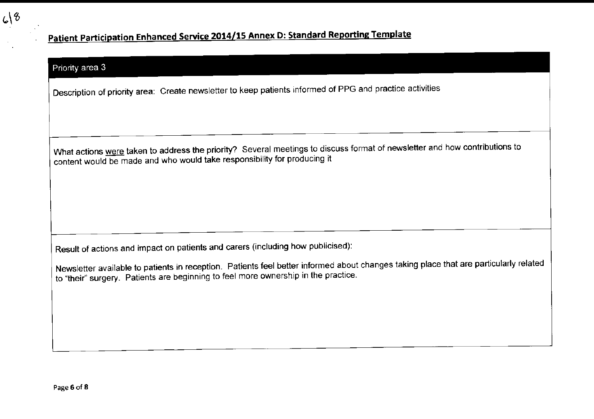#### Priority area 3

Description of priority area: Create newsletter to keep patients informed of PPG and practice activities

What actions were taken to address the priority? Several meetings to discuss format of newsletter and how contributions to content would be made and who would take responsibility for producing it

Result of actions and impact on patients and carers (including how publicised):

Newsletter available to patients in reception. Patients feel better informed about changes taking place that are particularly related **to "their" surgery. Patients are beginning to feel more ownership in the practice.**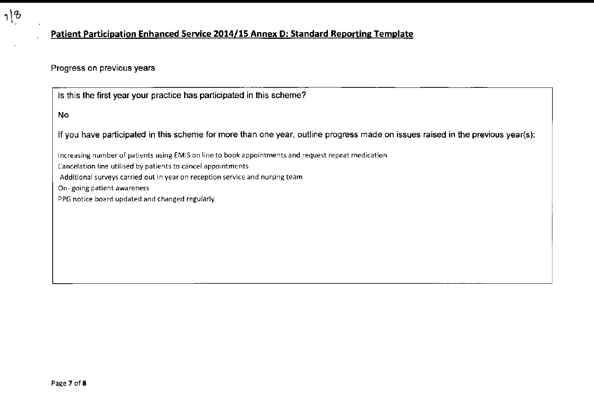

#### **Progress on previous years**

Is this the first year your practice has participated in this scheme?

Increasing number of patients using EM IS on line to book appointments and request repeat medication Cancelation line utilised by patients to cancel appointments Additional surveys carried out in year on reception service and nursing team On- going patient awareness PPG notice board updated and changed regularly

No

 $18$ 

If you have participated in this scheme for more than one year, outline progress made on issues raised in the previous year(s):